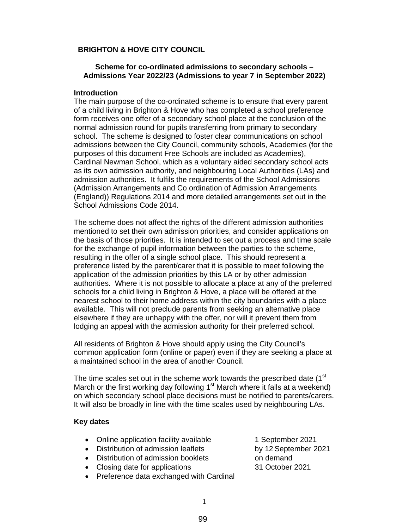### **BRIGHTON & HOVE CITY COUNCIL**

## **Scheme for co-ordinated admissions to secondary schools – Admissions Year 2022/23 (Admissions to year 7 in September 2022)**

### **Introduction**

The main purpose of the co-ordinated scheme is to ensure that every parent of a child living in Brighton & Hove who has completed a school preference form receives one offer of a secondary school place at the conclusion of the normal admission round for pupils transferring from primary to secondary school. The scheme is designed to foster clear communications on school admissions between the City Council, community schools, Academies (for the purposes of this document Free Schools are included as Academies), Cardinal Newman School, which as a voluntary aided secondary school acts as its own admission authority, and neighbouring Local Authorities (LAs) and admission authorities. It fulfils the requirements of the School Admissions (Admission Arrangements and Co ordination of Admission Arrangements (England)) Regulations 2014 and more detailed arrangements set out in the School Admissions Code 2014.

The scheme does not affect the rights of the different admission authorities mentioned to set their own admission priorities, and consider applications on the basis of those priorities. It is intended to set out a process and time scale for the exchange of pupil information between the parties to the scheme, resulting in the offer of a single school place. This should represent a preference listed by the parent/carer that it is possible to meet following the application of the admission priorities by this LA or by other admission authorities. Where it is not possible to allocate a place at any of the preferred schools for a child living in Brighton & Hove, a place will be offered at the nearest school to their home address within the city boundaries with a place available. This will not preclude parents from seeking an alternative place elsewhere if they are unhappy with the offer, nor will it prevent them from lodging an appeal with the admission authority for their preferred school.

All residents of Brighton & Hove should apply using the City Council's common application form (online or paper) even if they are seeking a place at a maintained school in the area of another Council.

The time scales set out in the scheme work towards the prescribed date (1<sup>st</sup>) March or the first working day following  $1<sup>st</sup>$  March where it falls at a weekend) on which secondary school place decisions must be notified to parents/carers. It will also be broadly in line with the time scales used by neighbouring LAs.

#### **Key dates**

- Online application facility available 1 September 2021
- Distribution of admission leaflets by 12 September 2021
- Distribution of admission booklets on demand
- Closing date for applications 31 October 2021
- Preference data exchanged with Cardinal
- 
-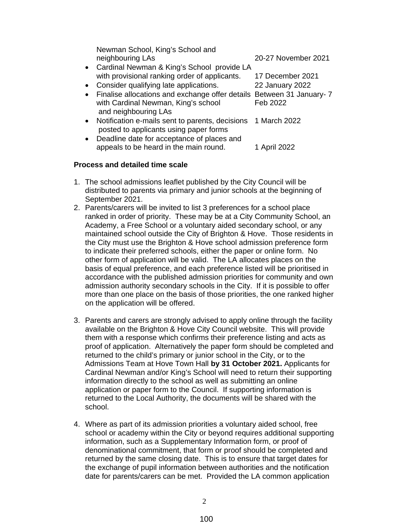|           | Newman School, King's School and<br>neighbouring LAs                                                                                   | 20-27 November 2021 |
|-----------|----------------------------------------------------------------------------------------------------------------------------------------|---------------------|
|           | • Cardinal Newman & King's School provide LA                                                                                           |                     |
|           | with provisional ranking order of applicants.                                                                                          | 17 December 2021    |
|           | • Consider qualifying late applications.                                                                                               | 22 January 2022     |
|           | • Finalise allocations and exchange offer details Between 31 January- 7<br>with Cardinal Newman, King's school<br>and neighbouring LAs | Feb 2022            |
|           | • Notification e-mails sent to parents, decisions<br>posted to applicants using paper forms                                            | 1 March 2022        |
| $\bullet$ | Deadline date for acceptance of places and<br>appeals to be heard in the main round.                                                   | 1 April 2022        |

## **Process and detailed time scale**

- 1. The school admissions leaflet published by the City Council will be distributed to parents via primary and junior schools at the beginning of September 2021.
- 2. Parents/carers will be invited to list 3 preferences for a school place ranked in order of priority. These may be at a City Community School, an Academy, a Free School or a voluntary aided secondary school, or any maintained school outside the City of Brighton & Hove. Those residents in the City must use the Brighton & Hove school admission preference form to indicate their preferred schools, either the paper or online form. No other form of application will be valid. The LA allocates places on the basis of equal preference, and each preference listed will be prioritised in accordance with the published admission priorities for community and own admission authority secondary schools in the City. If it is possible to offer more than one place on the basis of those priorities, the one ranked higher on the application will be offered.
- 3. Parents and carers are strongly advised to apply online through the facility available on the Brighton & Hove City Council website. This will provide them with a response which confirms their preference listing and acts as proof of application. Alternatively the paper form should be completed and returned to the child's primary or junior school in the City, or to the Admissions Team at Hove Town Hall **by 31 October 2021.** Applicants for Cardinal Newman and/or King's School will need to return their supporting information directly to the school as well as submitting an online application or paper form to the Council. If supporting information is returned to the Local Authority, the documents will be shared with the school.
- 4. Where as part of its admission priorities a voluntary aided school, free school or academy within the City or beyond requires additional supporting information, such as a Supplementary Information form, or proof of denominational commitment, that form or proof should be completed and returned by the same closing date. This is to ensure that target dates for the exchange of pupil information between authorities and the notification date for parents/carers can be met. Provided the LA common application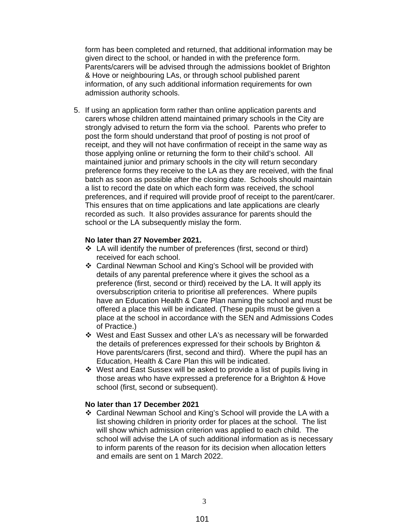form has been completed and returned, that additional information may be given direct to the school, or handed in with the preference form. Parents/carers will be advised through the admissions booklet of Brighton & Hove or neighbouring LAs, or through school published parent information, of any such additional information requirements for own admission authority schools.

5. If using an application form rather than online application parents and carers whose children attend maintained primary schools in the City are strongly advised to return the form via the school. Parents who prefer to post the form should understand that proof of posting is not proof of receipt, and they will not have confirmation of receipt in the same way as those applying online or returning the form to their child's school. All maintained junior and primary schools in the city will return secondary preference forms they receive to the LA as they are received, with the final batch as soon as possible after the closing date. Schools should maintain a list to record the date on which each form was received, the school preferences, and if required will provide proof of receipt to the parent/carer. This ensures that on time applications and late applications are clearly recorded as such. It also provides assurance for parents should the school or the LA subsequently mislay the form.

#### **No later than 27 November 2021.**

- $\div$  LA will identify the number of preferences (first, second or third) received for each school.
- Cardinal Newman School and King's School will be provided with details of any parental preference where it gives the school as a preference (first, second or third) received by the LA. It will apply its oversubscription criteria to prioritise all preferences. Where pupils have an Education Health & Care Plan naming the school and must be offered a place this will be indicated. (These pupils must be given a place at the school in accordance with the SEN and Admissions Codes of Practice.)
- West and East Sussex and other LA's as necessary will be forwarded the details of preferences expressed for their schools by Brighton & Hove parents/carers (first, second and third). Where the pupil has an Education, Health & Care Plan this will be indicated.
- West and East Sussex will be asked to provide a list of pupils living in those areas who have expressed a preference for a Brighton & Hove school (first, second or subsequent).

### **No later than 17 December 2021**

 Cardinal Newman School and King's School will provide the LA with a list showing children in priority order for places at the school. The list will show which admission criterion was applied to each child. The school will advise the LA of such additional information as is necessary to inform parents of the reason for its decision when allocation letters and emails are sent on 1 March 2022.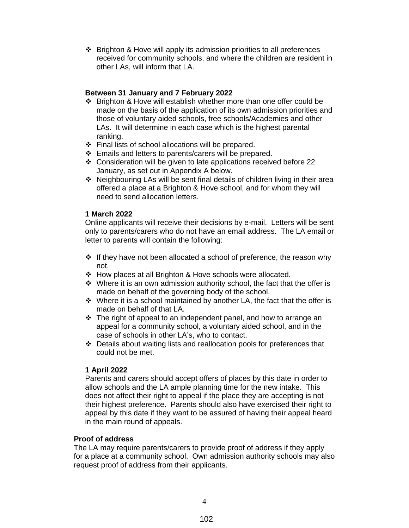Brighton & Hove will apply its admission priorities to all preferences received for community schools, and where the children are resident in other LAs, will inform that LA.

## **Between 31 January and 7 February 2022**

- ❖ Brighton & Hove will establish whether more than one offer could be made on the basis of the application of its own admission priorities and those of voluntary aided schools, free schools/Academies and other LAs. It will determine in each case which is the highest parental ranking.
- $\div$  Final lists of school allocations will be prepared.
- $\div$  Emails and letters to parents/carers will be prepared.
- Consideration will be given to late applications received before 22 January, as set out in Appendix A below.
- ◆ Neighbouring LAs will be sent final details of children living in their area offered a place at a Brighton & Hove school, and for whom they will need to send allocation letters.

## **1 March 2022**

Online applicants will receive their decisions by e-mail. Letters will be sent only to parents/carers who do not have an email address. The LA email or letter to parents will contain the following:

- $\cdot \cdot$  If they have not been allocated a school of preference, the reason why not.
- How places at all Brighton & Hove schools were allocated.
- $\div$  Where it is an own admission authority school, the fact that the offer is made on behalf of the governing body of the school.
- $\cdot$  Where it is a school maintained by another LA, the fact that the offer is made on behalf of that LA.
- $\div$  The right of appeal to an independent panel, and how to arrange an appeal for a community school, a voluntary aided school, and in the case of schools in other LA's, who to contact.
- Details about waiting lists and reallocation pools for preferences that could not be met.

#### **1 April 2022**

Parents and carers should accept offers of places by this date in order to allow schools and the LA ample planning time for the new intake. This does not affect their right to appeal if the place they are accepting is not their highest preference. Parents should also have exercised their right to appeal by this date if they want to be assured of having their appeal heard in the main round of appeals.

#### **Proof of address**

The LA may require parents/carers to provide proof of address if they apply for a place at a community school. Own admission authority schools may also request proof of address from their applicants.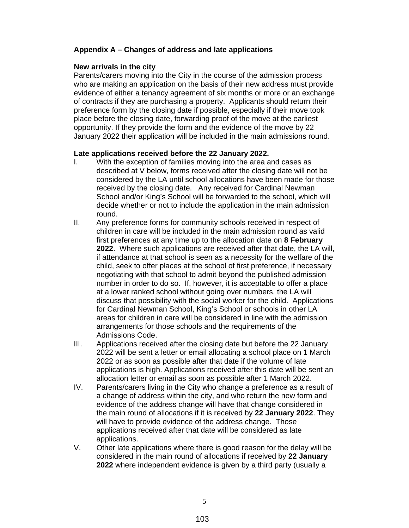# **Appendix A – Changes of address and late applications**

## **New arrivals in the city**

Parents/carers moving into the City in the course of the admission process who are making an application on the basis of their new address must provide evidence of either a tenancy agreement of six months or more or an exchange of contracts if they are purchasing a property. Applicants should return their preference form by the closing date if possible, especially if their move took place before the closing date, forwarding proof of the move at the earliest opportunity. If they provide the form and the evidence of the move by 22 January 2022 their application will be included in the main admissions round.

## **Late applications received before the 22 January 2022.**

- I. With the exception of families moving into the area and cases as described at V below, forms received after the closing date will not be considered by the LA until school allocations have been made for those received by the closing date. Any received for Cardinal Newman School and/or King's School will be forwarded to the school, which will decide whether or not to include the application in the main admission round.
- II. Any preference forms for community schools received in respect of children in care will be included in the main admission round as valid first preferences at any time up to the allocation date on **8 February 2022**. Where such applications are received after that date, the LA will, if attendance at that school is seen as a necessity for the welfare of the child, seek to offer places at the school of first preference, if necessary negotiating with that school to admit beyond the published admission number in order to do so. If, however, it is acceptable to offer a place at a lower ranked school without going over numbers, the LA will discuss that possibility with the social worker for the child. Applications for Cardinal Newman School, King's School or schools in other LA areas for children in care will be considered in line with the admission arrangements for those schools and the requirements of the Admissions Code.
- III. Applications received after the closing date but before the 22 January 2022 will be sent a letter or email allocating a school place on 1 March 2022 or as soon as possible after that date if the volume of late applications is high. Applications received after this date will be sent an allocation letter or email as soon as possible after 1 March 2022.
- IV. Parents/carers living in the City who change a preference as a result of a change of address within the city, and who return the new form and evidence of the address change will have that change considered in the main round of allocations if it is received by **22 January 2022**. They will have to provide evidence of the address change. Those applications received after that date will be considered as late applications.
- V. Other late applications where there is good reason for the delay will be considered in the main round of allocations if received by **22 January 2022** where independent evidence is given by a third party (usually a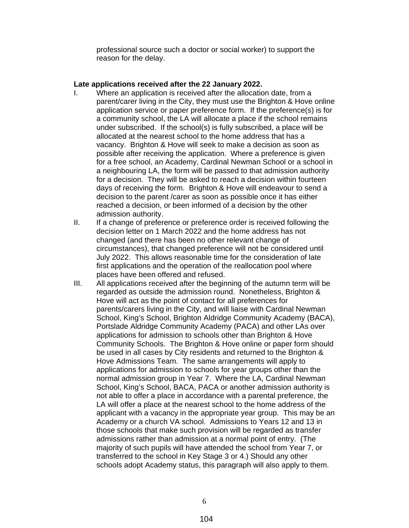professional source such a doctor or social worker) to support the reason for the delay.

#### **Late applications received after the 22 January 2022.**

- I. Where an application is received after the allocation date, from a parent/carer living in the City, they must use the Brighton & Hove online application service or paper preference form. If the preference(s) is for a community school, the LA will allocate a place if the school remains under subscribed. If the school(s) is fully subscribed, a place will be allocated at the nearest school to the home address that has a vacancy. Brighton & Hove will seek to make a decision as soon as possible after receiving the application. Where a preference is given for a free school, an Academy, Cardinal Newman School or a school in a neighbouring LA, the form will be passed to that admission authority for a decision. They will be asked to reach a decision within fourteen days of receiving the form. Brighton & Hove will endeavour to send a decision to the parent /carer as soon as possible once it has either reached a decision, or been informed of a decision by the other admission authority.
- II. If a change of preference or preference order is received following the decision letter on 1 March 2022 and the home address has not changed (and there has been no other relevant change of circumstances), that changed preference will not be considered until July 2022. This allows reasonable time for the consideration of late first applications and the operation of the reallocation pool where places have been offered and refused.
- III. All applications received after the beginning of the autumn term will be regarded as outside the admission round. Nonetheless, Brighton & Hove will act as the point of contact for all preferences for parents/carers living in the City, and will liaise with Cardinal Newman School, King's School, Brighton Aldridge Community Academy (BACA), Portslade Aldridge Community Academy (PACA) and other LAs over applications for admission to schools other than Brighton & Hove Community Schools. The Brighton & Hove online or paper form should be used in all cases by City residents and returned to the Brighton & Hove Admissions Team. The same arrangements will apply to applications for admission to schools for year groups other than the normal admission group in Year 7. Where the LA, Cardinal Newman School, King's School, BACA, PACA or another admission authority is not able to offer a place in accordance with a parental preference, the LA will offer a place at the nearest school to the home address of the applicant with a vacancy in the appropriate year group. This may be an Academy or a church VA school. Admissions to Years 12 and 13 in those schools that make such provision will be regarded as transfer admissions rather than admission at a normal point of entry. (The majority of such pupils will have attended the school from Year 7, or transferred to the school in Key Stage 3 or 4.) Should any other schools adopt Academy status, this paragraph will also apply to them.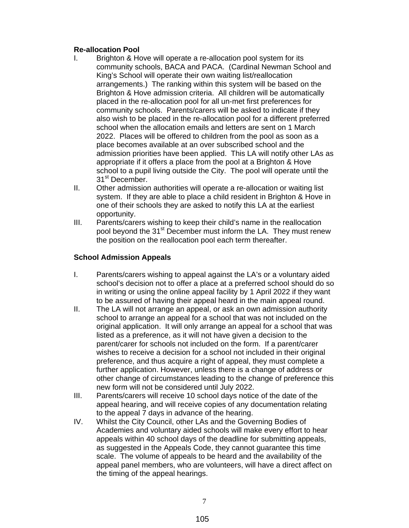# **Re-allocation Pool**

- I. Brighton & Hove will operate a re-allocation pool system for its community schools, BACA and PACA. (Cardinal Newman School and King's School will operate their own waiting list/reallocation arrangements.) The ranking within this system will be based on the Brighton & Hove admission criteria. All children will be automatically placed in the re-allocation pool for all un-met first preferences for community schools. Parents/carers will be asked to indicate if they also wish to be placed in the re-allocation pool for a different preferred school when the allocation emails and letters are sent on 1 March 2022. Places will be offered to children from the pool as soon as a place becomes available at an over subscribed school and the admission priorities have been applied. This LA will notify other LAs as appropriate if it offers a place from the pool at a Brighton & Hove school to a pupil living outside the City. The pool will operate until the 31<sup>st</sup> December.
- II. Other admission authorities will operate a re-allocation or waiting list system. If they are able to place a child resident in Brighton & Hove in one of their schools they are asked to notify this LA at the earliest opportunity.
- III. Parents/carers wishing to keep their child's name in the reallocation pool beyond the 31<sup>st</sup> December must inform the LA. They must renew the position on the reallocation pool each term thereafter.

# **School Admission Appeals**

- I. Parents/carers wishing to appeal against the LA's or a voluntary aided school's decision not to offer a place at a preferred school should do so in writing or using the online appeal facility by 1 April 2022 if they want to be assured of having their appeal heard in the main appeal round.
- II. The LA will not arrange an appeal, or ask an own admission authority school to arrange an appeal for a school that was not included on the original application. It will only arrange an appeal for a school that was listed as a preference, as it will not have given a decision to the parent/carer for schools not included on the form. If a parent/carer wishes to receive a decision for a school not included in their original preference, and thus acquire a right of appeal, they must complete a further application. However, unless there is a change of address or other change of circumstances leading to the change of preference this new form will not be considered until July 2022.
- III. Parents/carers will receive 10 school days notice of the date of the appeal hearing, and will receive copies of any documentation relating to the appeal 7 days in advance of the hearing.
- IV. Whilst the City Council, other LAs and the Governing Bodies of Academies and voluntary aided schools will make every effort to hear appeals within 40 school days of the deadline for submitting appeals, as suggested in the Appeals Code, they cannot guarantee this time scale. The volume of appeals to be heard and the availability of the appeal panel members, who are volunteers, will have a direct affect on the timing of the appeal hearings.